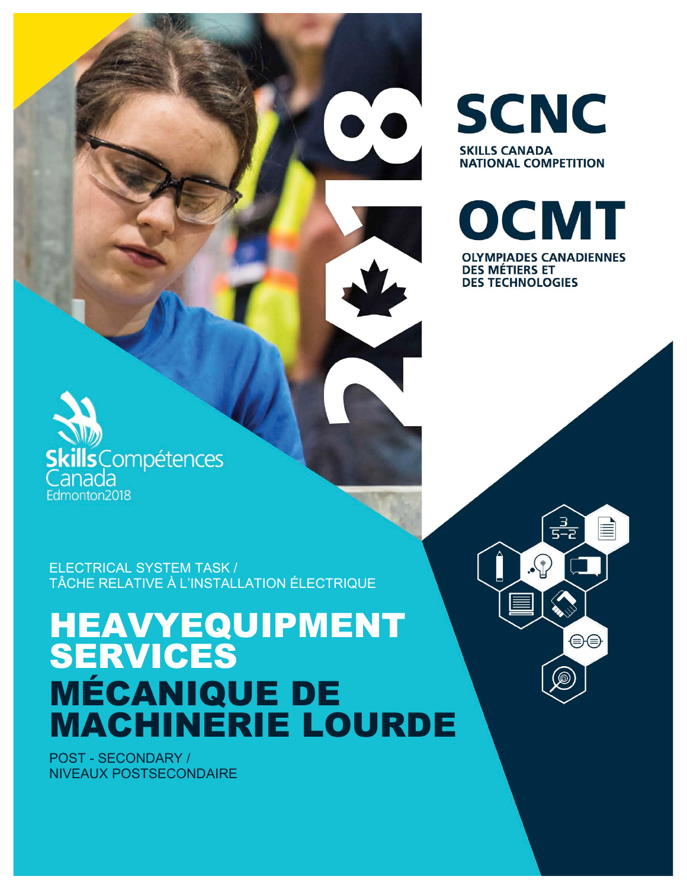ELECTRICAL SYSTEM TASK / TÂCHE RELATIVE À L'INSTALLATION ÉLECTRIQUE

# HEAVYEQUIPMENT SERVICES MÉCANIQUE DE MACHINERIE LOURDE

POST - SECONDARY / NIVEAUX POSTSECONDAIRE

cillsCompétences

anada Edmonton2018



<u>्रु</u><br>5-2

 $\widehat{\mathbb{P}}$ .

≣

⊖⊜

**SCNC SKILLS CANADA NATIONAL COMPETITION** 

OCMT **OLYMPIADES CANADIENNES DES MÉTIERS ET DES TECHNOLOGIES**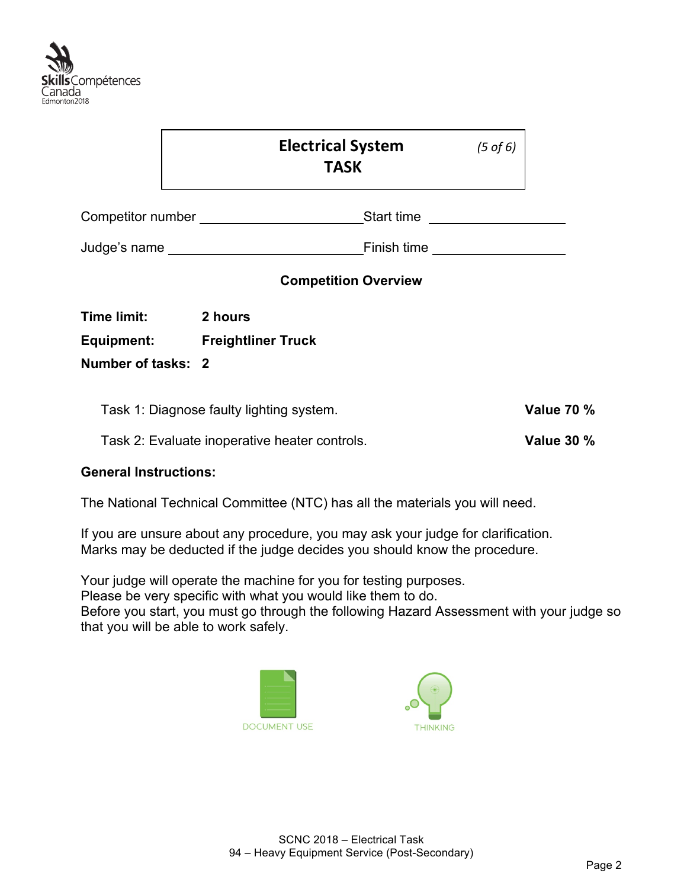

|                                                               | <b>Electrical System</b><br><b>TASK</b>                                                                                                                                                                                        |                                                                                                                                                                                                                                      | $(5 \text{ of } 6)$ |                   |
|---------------------------------------------------------------|--------------------------------------------------------------------------------------------------------------------------------------------------------------------------------------------------------------------------------|--------------------------------------------------------------------------------------------------------------------------------------------------------------------------------------------------------------------------------------|---------------------|-------------------|
|                                                               |                                                                                                                                                                                                                                | Start time<br><u> and a contract of</u> the starting of the starting of the starting of the starting of the starting of the starting of the starting of the starting of the starting of the starting of the starting of the starting |                     |                   |
|                                                               | Judge's name experience and the state of the state of the state of the state of the state of the state of the state of the state of the state of the state of the state of the state of the state of the state of the state of | Finish time<br><u> </u>                                                                                                                                                                                                              |                     |                   |
|                                                               |                                                                                                                                                                                                                                | <b>Competition Overview</b>                                                                                                                                                                                                          |                     |                   |
| <b>Time limit:</b><br><b>Equipment:</b><br>Number of tasks: 2 | 2 hours<br><b>Freightliner Truck</b>                                                                                                                                                                                           |                                                                                                                                                                                                                                      |                     |                   |
|                                                               | Task 1: Diagnose faulty lighting system.                                                                                                                                                                                       |                                                                                                                                                                                                                                      |                     | <b>Value 70 %</b> |

Task 2: Evaluate inoperative heater controls. **Value 30 %**

#### **General Instructions:**

The National Technical Committee (NTC) has all the materials you will need.

If you are unsure about any procedure, you may ask your judge for clarification. Marks may be deducted if the judge decides you should know the procedure.

Your judge will operate the machine for you for testing purposes.

Please be very specific with what you would like them to do.

Before you start, you must go through the following Hazard Assessment with your judge so that you will be able to work safely.



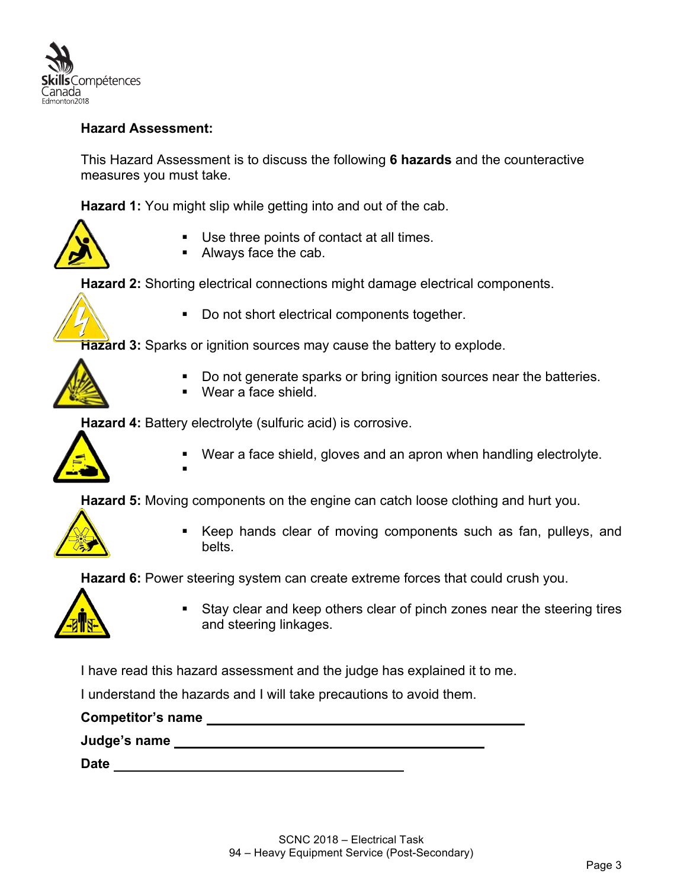

#### **Hazard Assessment:**

This Hazard Assessment is to discuss the following **6 hazards** and the counteractive measures you must take.

**Hazard 1:** You might slip while getting into and out of the cab.



- Use three points of contact at all times.
- Always face the cab.

**Hazard 2:** Shorting electrical connections might damage electrical components.



§ Do not short electrical components together.

**Hazard 3:** Sparks or ignition sources may cause the battery to explode.

- Do not generate sparks or bring ignition sources near the batteries.
- Wear a face shield.

**Hazard 4:** Battery electrolyte (sulfuric acid) is corrosive.

§



Wear a face shield, gloves and an apron when handling electrolyte.

**Hazard 5:** Moving components on the engine can catch loose clothing and hurt you.



Keep hands clear of moving components such as fan, pulleys, and belts.

**Hazard 6:** Power steering system can create extreme forces that could crush you.



§ Stay clear and keep others clear of pinch zones near the steering tires and steering linkages.

I have read this hazard assessment and the judge has explained it to me.

I understand the hazards and I will take precautions to avoid them.

**Competitor's name** 

**Judge's name** 

**Date**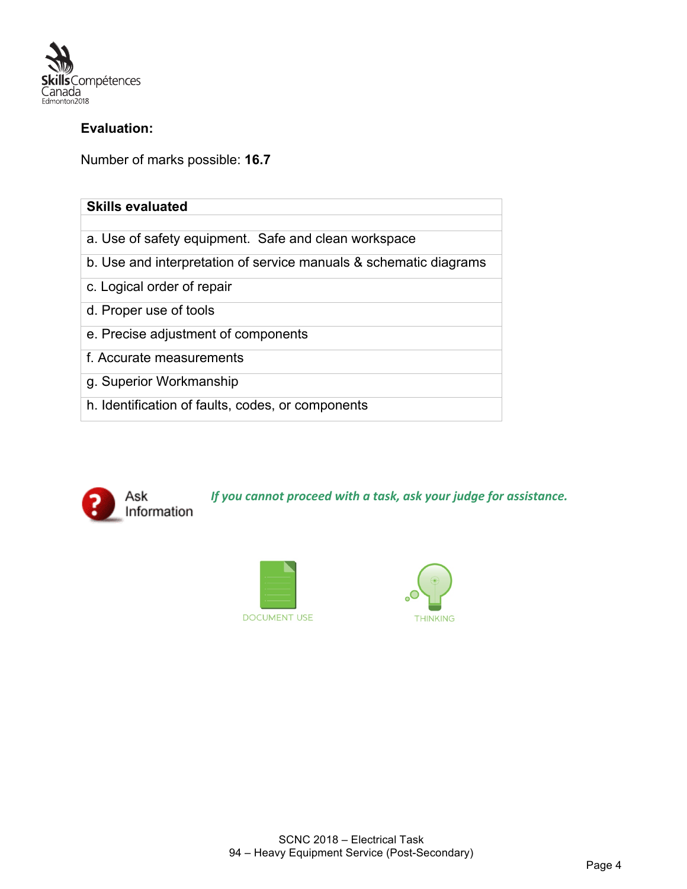

#### **Evaluation:**

Number of marks possible: **16.7**

| <b>Skills evaluated</b>                                           |
|-------------------------------------------------------------------|
|                                                                   |
| a. Use of safety equipment. Safe and clean workspace              |
| b. Use and interpretation of service manuals & schematic diagrams |
| c. Logical order of repair                                        |
| d. Proper use of tools                                            |
| e. Precise adjustment of components                               |
| f. Accurate measurements                                          |
| g. Superior Workmanship                                           |
| h. Identification of faults, codes, or components                 |



*If you cannot proceed with a task, ask your judge for assistance.* 



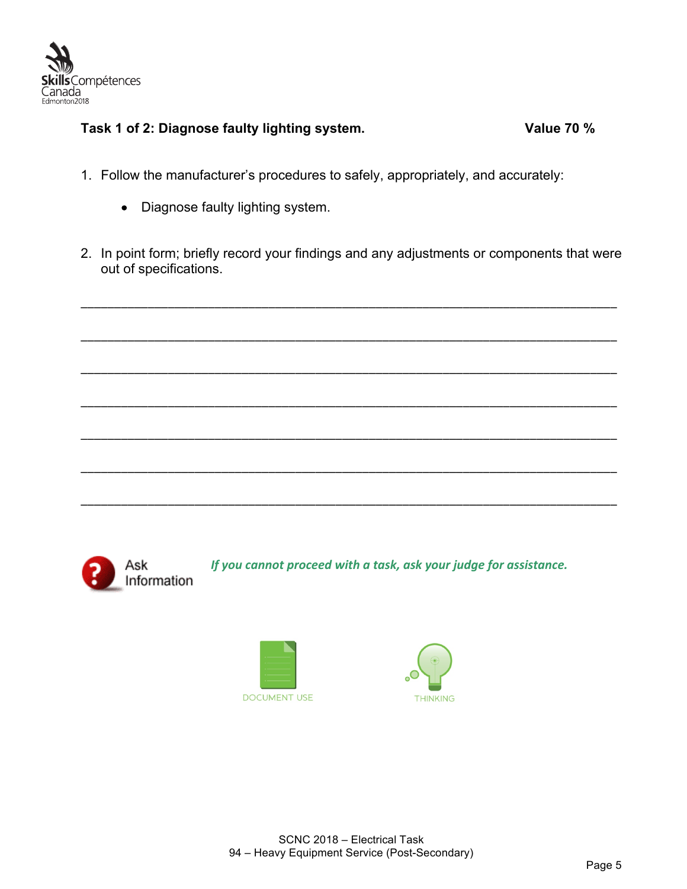

### **Task 1 of 2: Diagnose faulty lighting system. Value 70 %**

- 1. Follow the manufacturer's procedures to safely, appropriately, and accurately:
	- Diagnose faulty lighting system.
- 2. In point form; briefly record your findings and any adjustments or components that were out of specifications.

\_\_\_\_\_\_\_\_\_\_\_\_\_\_\_\_\_\_\_\_\_\_\_\_\_\_\_\_\_\_\_\_\_\_\_\_\_\_\_\_\_\_\_\_\_\_\_\_\_\_\_\_\_\_\_\_\_\_\_\_\_\_\_\_\_\_\_\_\_\_\_\_\_\_\_\_\_\_\_\_

\_\_\_\_\_\_\_\_\_\_\_\_\_\_\_\_\_\_\_\_\_\_\_\_\_\_\_\_\_\_\_\_\_\_\_\_\_\_\_\_\_\_\_\_\_\_\_\_\_\_\_\_\_\_\_\_\_\_\_\_\_\_\_\_\_\_\_\_\_\_\_\_\_\_\_\_\_\_\_\_

\_\_\_\_\_\_\_\_\_\_\_\_\_\_\_\_\_\_\_\_\_\_\_\_\_\_\_\_\_\_\_\_\_\_\_\_\_\_\_\_\_\_\_\_\_\_\_\_\_\_\_\_\_\_\_\_\_\_\_\_\_\_\_\_\_\_\_\_\_\_\_\_\_\_\_\_\_\_\_\_

\_\_\_\_\_\_\_\_\_\_\_\_\_\_\_\_\_\_\_\_\_\_\_\_\_\_\_\_\_\_\_\_\_\_\_\_\_\_\_\_\_\_\_\_\_\_\_\_\_\_\_\_\_\_\_\_\_\_\_\_\_\_\_\_\_\_\_\_\_\_\_\_\_\_\_\_\_\_\_\_

\_\_\_\_\_\_\_\_\_\_\_\_\_\_\_\_\_\_\_\_\_\_\_\_\_\_\_\_\_\_\_\_\_\_\_\_\_\_\_\_\_\_\_\_\_\_\_\_\_\_\_\_\_\_\_\_\_\_\_\_\_\_\_\_\_\_\_\_\_\_\_\_\_\_\_\_\_\_\_\_

\_\_\_\_\_\_\_\_\_\_\_\_\_\_\_\_\_\_\_\_\_\_\_\_\_\_\_\_\_\_\_\_\_\_\_\_\_\_\_\_\_\_\_\_\_\_\_\_\_\_\_\_\_\_\_\_\_\_\_\_\_\_\_\_\_\_\_\_\_\_\_\_\_\_\_\_\_\_\_\_

\_\_\_\_\_\_\_\_\_\_\_\_\_\_\_\_\_\_\_\_\_\_\_\_\_\_\_\_\_\_\_\_\_\_\_\_\_\_\_\_\_\_\_\_\_\_\_\_\_\_\_\_\_\_\_\_\_\_\_\_\_\_\_\_\_\_\_\_\_\_\_\_\_\_\_\_\_\_\_\_



*If you cannot proceed with a task, ask your judge for assistance.* 



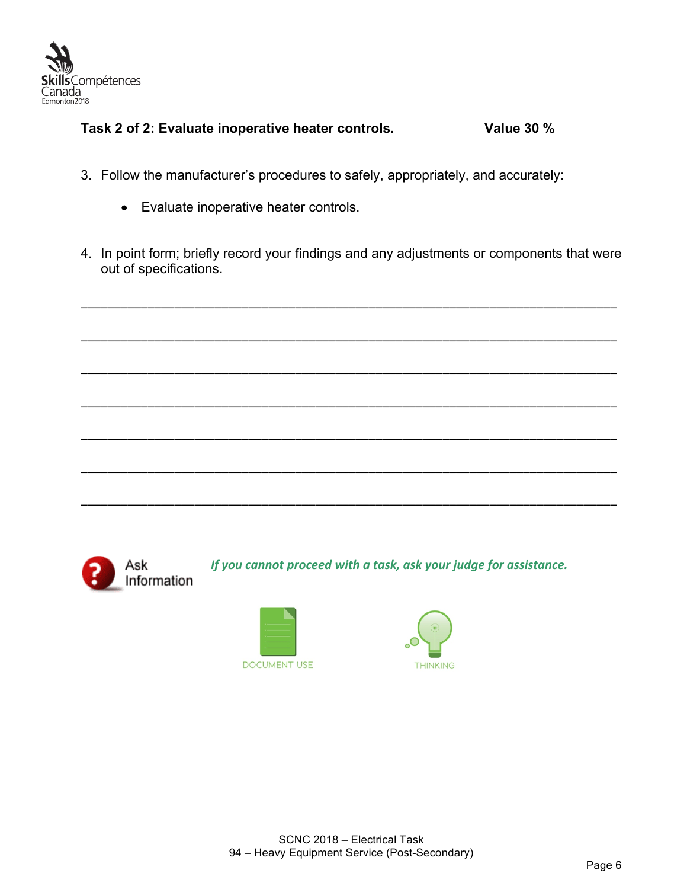

#### **Task 2 of 2: Evaluate inoperative heater controls. Value 30 %**

- 3. Follow the manufacturer's procedures to safely, appropriately, and accurately:
	- Evaluate inoperative heater controls.
- 4. In point form; briefly record your findings and any adjustments or components that were out of specifications.

\_\_\_\_\_\_\_\_\_\_\_\_\_\_\_\_\_\_\_\_\_\_\_\_\_\_\_\_\_\_\_\_\_\_\_\_\_\_\_\_\_\_\_\_\_\_\_\_\_\_\_\_\_\_\_\_\_\_\_\_\_\_\_\_\_\_\_\_\_\_\_\_\_\_\_\_\_\_\_\_

\_\_\_\_\_\_\_\_\_\_\_\_\_\_\_\_\_\_\_\_\_\_\_\_\_\_\_\_\_\_\_\_\_\_\_\_\_\_\_\_\_\_\_\_\_\_\_\_\_\_\_\_\_\_\_\_\_\_\_\_\_\_\_\_\_\_\_\_\_\_\_\_\_\_\_\_\_\_\_\_

\_\_\_\_\_\_\_\_\_\_\_\_\_\_\_\_\_\_\_\_\_\_\_\_\_\_\_\_\_\_\_\_\_\_\_\_\_\_\_\_\_\_\_\_\_\_\_\_\_\_\_\_\_\_\_\_\_\_\_\_\_\_\_\_\_\_\_\_\_\_\_\_\_\_\_\_\_\_\_\_

\_\_\_\_\_\_\_\_\_\_\_\_\_\_\_\_\_\_\_\_\_\_\_\_\_\_\_\_\_\_\_\_\_\_\_\_\_\_\_\_\_\_\_\_\_\_\_\_\_\_\_\_\_\_\_\_\_\_\_\_\_\_\_\_\_\_\_\_\_\_\_\_\_\_\_\_\_\_\_\_

\_\_\_\_\_\_\_\_\_\_\_\_\_\_\_\_\_\_\_\_\_\_\_\_\_\_\_\_\_\_\_\_\_\_\_\_\_\_\_\_\_\_\_\_\_\_\_\_\_\_\_\_\_\_\_\_\_\_\_\_\_\_\_\_\_\_\_\_\_\_\_\_\_\_\_\_\_\_\_\_

\_\_\_\_\_\_\_\_\_\_\_\_\_\_\_\_\_\_\_\_\_\_\_\_\_\_\_\_\_\_\_\_\_\_\_\_\_\_\_\_\_\_\_\_\_\_\_\_\_\_\_\_\_\_\_\_\_\_\_\_\_\_\_\_\_\_\_\_\_\_\_\_\_\_\_\_\_\_\_\_

\_\_\_\_\_\_\_\_\_\_\_\_\_\_\_\_\_\_\_\_\_\_\_\_\_\_\_\_\_\_\_\_\_\_\_\_\_\_\_\_\_\_\_\_\_\_\_\_\_\_\_\_\_\_\_\_\_\_\_\_\_\_\_\_\_\_\_\_\_\_\_\_\_\_\_\_\_\_\_\_